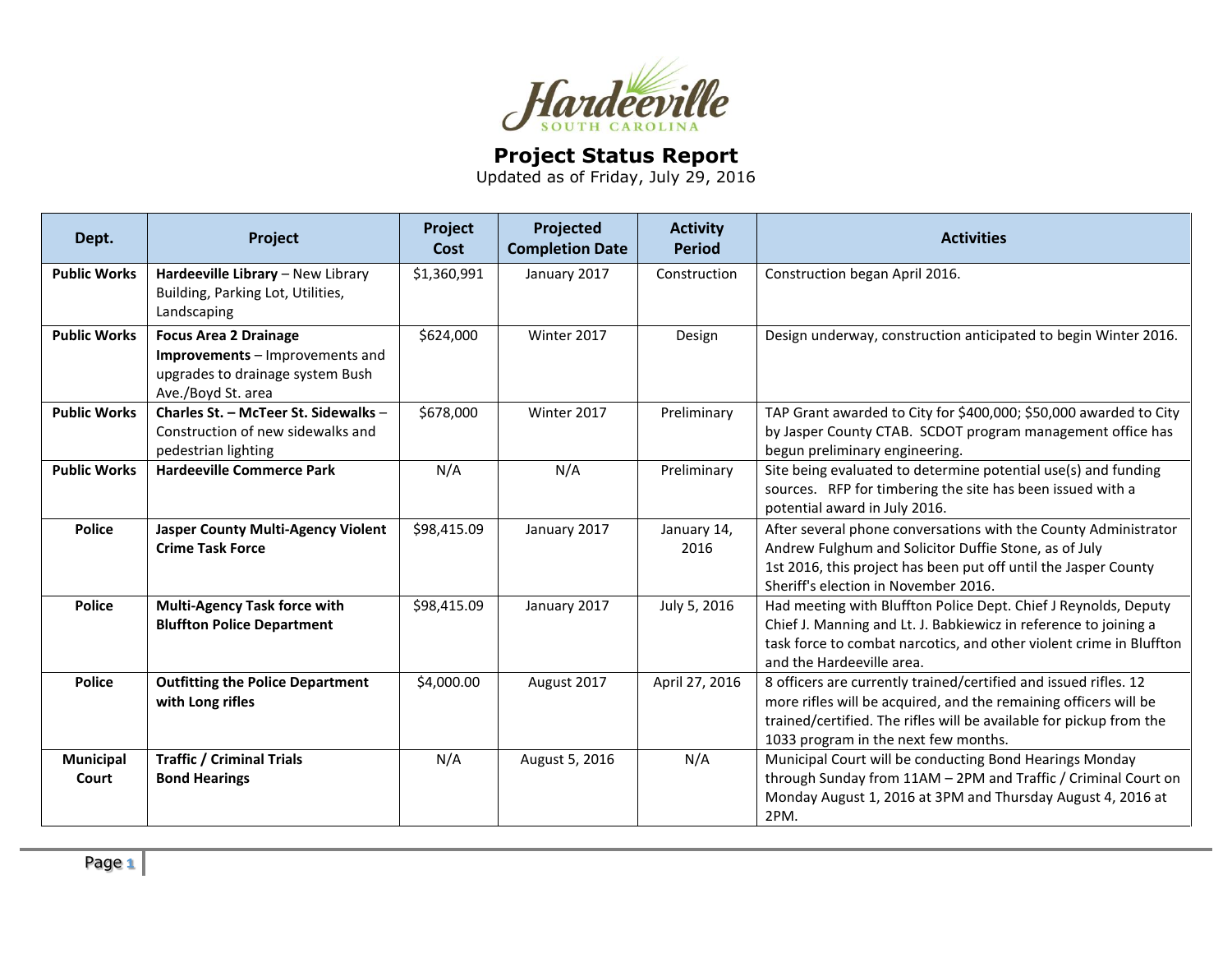

## **Project Status Report**

Updated as of Friday, July 29, 2016

| Dept.                     | Project                                                                                                                   | Project<br>Cost | Projected<br><b>Completion Date</b> | <b>Activity</b><br><b>Period</b> | <b>Activities</b>                                                                                                                                                                                                                                   |
|---------------------------|---------------------------------------------------------------------------------------------------------------------------|-----------------|-------------------------------------|----------------------------------|-----------------------------------------------------------------------------------------------------------------------------------------------------------------------------------------------------------------------------------------------------|
| <b>Public Works</b>       | Hardeeville Library - New Library<br>Building, Parking Lot, Utilities,<br>Landscaping                                     | \$1,360,991     | January 2017                        | Construction                     | Construction began April 2016.                                                                                                                                                                                                                      |
| <b>Public Works</b>       | <b>Focus Area 2 Drainage</b><br>Improvements - Improvements and<br>upgrades to drainage system Bush<br>Ave./Boyd St. area | \$624,000       | Winter 2017                         | Design                           | Design underway, construction anticipated to begin Winter 2016.                                                                                                                                                                                     |
| <b>Public Works</b>       | Charles St. - McTeer St. Sidewalks -<br>Construction of new sidewalks and<br>pedestrian lighting                          | \$678,000       | Winter 2017                         | Preliminary                      | TAP Grant awarded to City for \$400,000; \$50,000 awarded to City<br>by Jasper County CTAB. SCDOT program management office has<br>begun preliminary engineering.                                                                                   |
| <b>Public Works</b>       | <b>Hardeeville Commerce Park</b>                                                                                          | N/A             | N/A                                 | Preliminary                      | Site being evaluated to determine potential use(s) and funding<br>sources. RFP for timbering the site has been issued with a<br>potential award in July 2016.                                                                                       |
| <b>Police</b>             | <b>Jasper County Multi-Agency Violent</b><br><b>Crime Task Force</b>                                                      | \$98,415.09     | January 2017                        | January 14,<br>2016              | After several phone conversations with the County Administrator<br>Andrew Fulghum and Solicitor Duffie Stone, as of July<br>1st 2016, this project has been put off until the Jasper County<br>Sheriff's election in November 2016.                 |
| <b>Police</b>             | <b>Multi-Agency Task force with</b><br><b>Bluffton Police Department</b>                                                  | \$98,415.09     | January 2017                        | July 5, 2016                     | Had meeting with Bluffton Police Dept. Chief J Reynolds, Deputy<br>Chief J. Manning and Lt. J. Babkiewicz in reference to joining a<br>task force to combat narcotics, and other violent crime in Bluffton<br>and the Hardeeville area.             |
| <b>Police</b>             | <b>Outfitting the Police Department</b><br>with Long rifles                                                               | \$4,000.00      | August 2017                         | April 27, 2016                   | 8 officers are currently trained/certified and issued rifles. 12<br>more rifles will be acquired, and the remaining officers will be<br>trained/certified. The rifles will be available for pickup from the<br>1033 program in the next few months. |
| <b>Municipal</b><br>Court | <b>Traffic / Criminal Trials</b><br><b>Bond Hearings</b>                                                                  | N/A             | August 5, 2016                      | N/A                              | Municipal Court will be conducting Bond Hearings Monday<br>through Sunday from 11AM - 2PM and Traffic / Criminal Court on<br>Monday August 1, 2016 at 3PM and Thursday August 4, 2016 at<br>2PM.                                                    |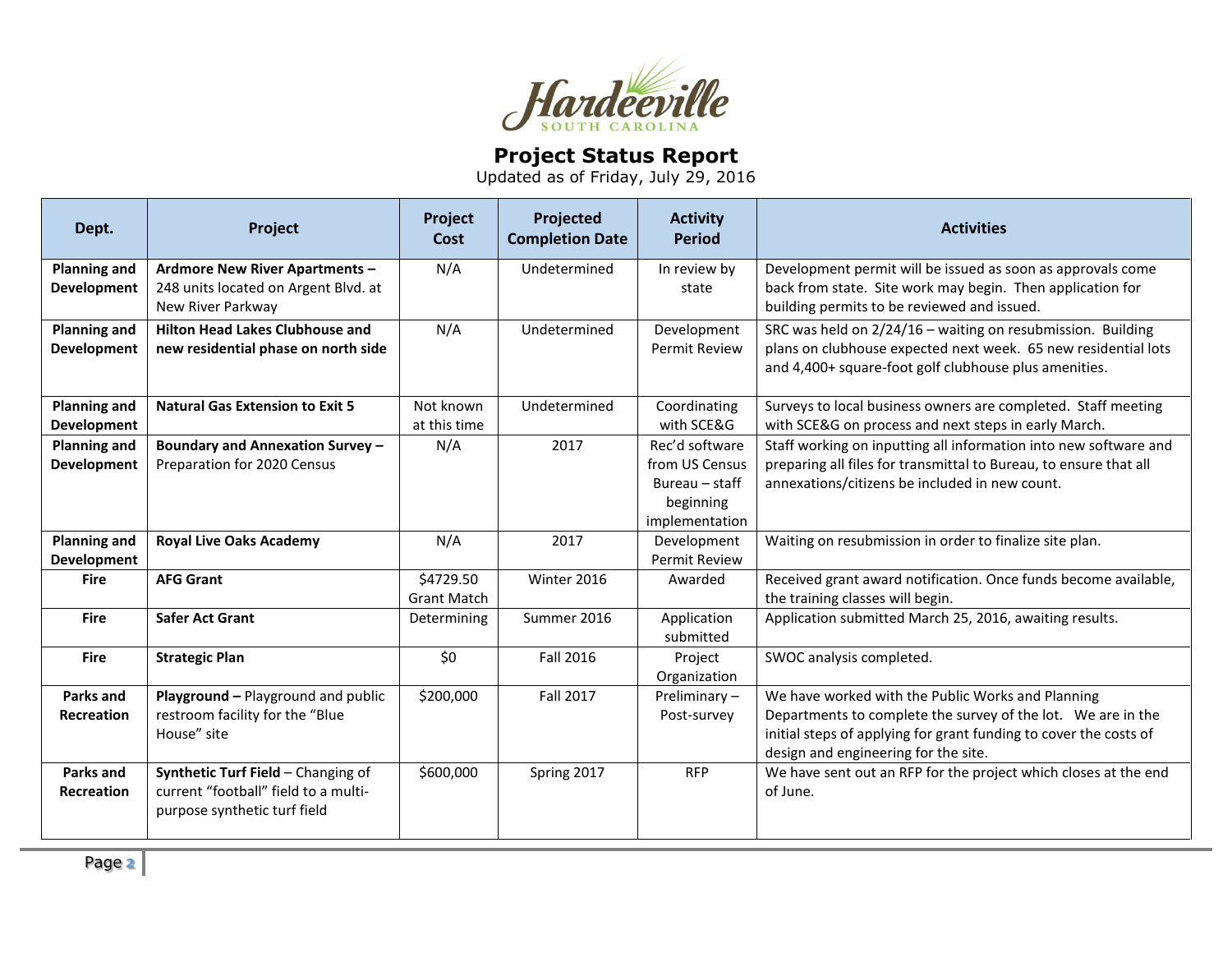

## **Project Status Report**

Updated as of Friday, July 29, 2016

| Dept.               | Project                                                   | Project<br>Cost    | Projected<br><b>Completion Date</b> | <b>Activity</b><br><b>Period</b> | <b>Activities</b>                                                                                         |
|---------------------|-----------------------------------------------------------|--------------------|-------------------------------------|----------------------------------|-----------------------------------------------------------------------------------------------------------|
| <b>Planning and</b> | <b>Ardmore New River Apartments -</b>                     | N/A                | Undetermined                        | In review by                     | Development permit will be issued as soon as approvals come                                               |
| <b>Development</b>  | 248 units located on Argent Blvd. at<br>New River Parkway |                    |                                     | state                            | back from state. Site work may begin. Then application for<br>building permits to be reviewed and issued. |
| <b>Planning and</b> | <b>Hilton Head Lakes Clubhouse and</b>                    | N/A                | Undetermined                        | Development                      | SRC was held on 2/24/16 - waiting on resubmission. Building                                               |
| <b>Development</b>  | new residential phase on north side                       |                    |                                     | <b>Permit Review</b>             | plans on clubhouse expected next week. 65 new residential lots                                            |
|                     |                                                           |                    |                                     |                                  | and 4,400+ square-foot golf clubhouse plus amenities.                                                     |
| <b>Planning and</b> | <b>Natural Gas Extension to Exit 5</b>                    | Not known          | Undetermined                        | Coordinating                     | Surveys to local business owners are completed. Staff meeting                                             |
| <b>Development</b>  |                                                           | at this time       |                                     | with SCE&G                       | with SCE&G on process and next steps in early March.                                                      |
| <b>Planning and</b> | <b>Boundary and Annexation Survey -</b>                   | N/A                | 2017                                | Rec'd software                   | Staff working on inputting all information into new software and                                          |
| <b>Development</b>  | Preparation for 2020 Census                               |                    |                                     | from US Census                   | preparing all files for transmittal to Bureau, to ensure that all                                         |
|                     |                                                           |                    |                                     | Bureau – staff                   | annexations/citizens be included in new count.                                                            |
|                     |                                                           |                    |                                     | beginning<br>implementation      |                                                                                                           |
| <b>Planning and</b> | <b>Royal Live Oaks Academy</b>                            | N/A                | 2017                                | Development                      | Waiting on resubmission in order to finalize site plan.                                                   |
| Development         |                                                           |                    |                                     | <b>Permit Review</b>             |                                                                                                           |
| <b>Fire</b>         | <b>AFG Grant</b>                                          | \$4729.50          | Winter 2016                         | Awarded                          | Received grant award notification. Once funds become available,                                           |
|                     |                                                           | <b>Grant Match</b> |                                     |                                  | the training classes will begin.                                                                          |
| <b>Fire</b>         | <b>Safer Act Grant</b>                                    | Determining        | Summer 2016                         | Application<br>submitted         | Application submitted March 25, 2016, awaiting results.                                                   |
| <b>Fire</b>         | <b>Strategic Plan</b>                                     | \$0                | Fall 2016                           | Project                          | SWOC analysis completed.                                                                                  |
|                     |                                                           |                    |                                     | Organization                     |                                                                                                           |
| Parks and           | Playground - Playground and public                        | \$200,000          | Fall 2017                           | Preliminary-                     | We have worked with the Public Works and Planning                                                         |
| Recreation          | restroom facility for the "Blue                           |                    |                                     | Post-survey                      | Departments to complete the survey of the lot. We are in the                                              |
|                     | House" site                                               |                    |                                     |                                  | initial steps of applying for grant funding to cover the costs of                                         |
| Parks and           | Synthetic Turf Field - Changing of                        | \$600,000          | Spring 2017                         | <b>RFP</b>                       | design and engineering for the site.<br>We have sent out an RFP for the project which closes at the end   |
| <b>Recreation</b>   | current "football" field to a multi-                      |                    |                                     |                                  | of June.                                                                                                  |
|                     | purpose synthetic turf field                              |                    |                                     |                                  |                                                                                                           |